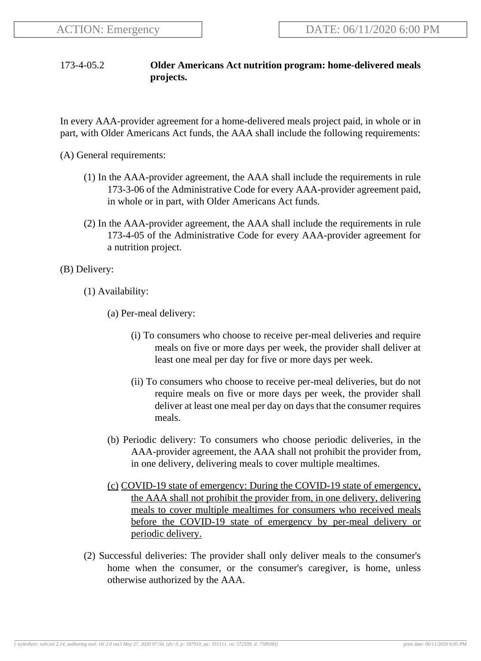## 173-4-05.2 **Older Americans Act nutrition program: home-delivered meals projects.**

In every AAA-provider agreement for a home-delivered meals project paid, in whole or in part, with Older Americans Act funds, the AAA shall include the following requirements:

(A) General requirements:

- (1) In the AAA-provider agreement, the AAA shall include the requirements in rule 173-3-06 of the Administrative Code for every AAA-provider agreement paid, in whole or in part, with Older Americans Act funds.
- (2) In the AAA-provider agreement, the AAA shall include the requirements in rule 173-4-05 of the Administrative Code for every AAA-provider agreement for a nutrition project.

(B) Delivery:

- (1) Availability:
	- (a) Per-meal delivery:
		- (i) To consumers who choose to receive per-meal deliveries and require meals on five or more days per week, the provider shall deliver at least one meal per day for five or more days per week.
		- (ii) To consumers who choose to receive per-meal deliveries, but do not require meals on five or more days per week, the provider shall deliver at least one meal per day on days that the consumer requires meals.
	- (b) Periodic delivery: To consumers who choose periodic deliveries, in the AAA-provider agreement, the AAA shall not prohibit the provider from, in one delivery, delivering meals to cover multiple mealtimes.
	- (c) COVID-19 state of emergency: During the COVID-19 state of emergency, the AAA shall not prohibit the provider from, in one delivery, delivering meals to cover multiple mealtimes for consumers who received meals before the COVID-19 state of emergency by per-meal delivery or periodic delivery.
- (2) Successful deliveries: The provider shall only deliver meals to the consumer's home when the consumer, or the consumer's caregiver, is home, unless otherwise authorized by the AAA.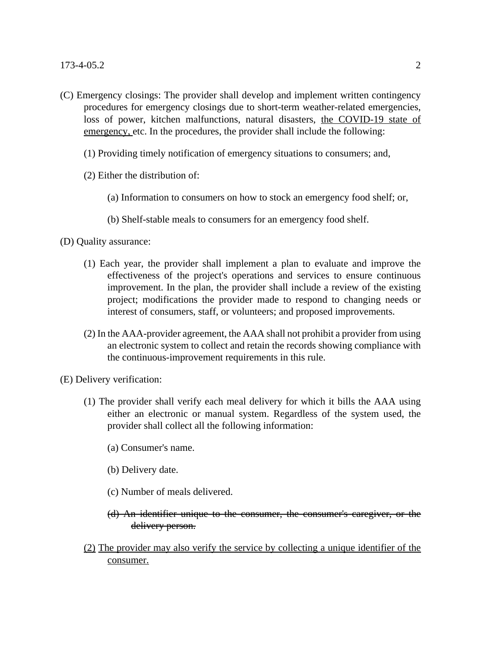- (C) Emergency closings: The provider shall develop and implement written contingency procedures for emergency closings due to short-term weather-related emergencies, loss of power, kitchen malfunctions, natural disasters, the COVID-19 state of emergency, etc. In the procedures, the provider shall include the following:
	- (1) Providing timely notification of emergency situations to consumers; and,
	- (2) Either the distribution of:
		- (a) Information to consumers on how to stock an emergency food shelf; or,
		- (b) Shelf-stable meals to consumers for an emergency food shelf.
- (D) Quality assurance:
	- (1) Each year, the provider shall implement a plan to evaluate and improve the effectiveness of the project's operations and services to ensure continuous improvement. In the plan, the provider shall include a review of the existing project; modifications the provider made to respond to changing needs or interest of consumers, staff, or volunteers; and proposed improvements.
	- (2) In the AAA-provider agreement, the AAA shall not prohibit a provider from using an electronic system to collect and retain the records showing compliance with the continuous-improvement requirements in this rule.
- (E) Delivery verification:
	- (1) The provider shall verify each meal delivery for which it bills the AAA using either an electronic or manual system. Regardless of the system used, the provider shall collect all the following information:
		- (a) Consumer's name.
		- (b) Delivery date.
		- (c) Number of meals delivered.

## (d) An identifier unique to the consumer, the consumer's caregiver, or the delivery person.

(2) The provider may also verify the service by collecting a unique identifier of the consumer.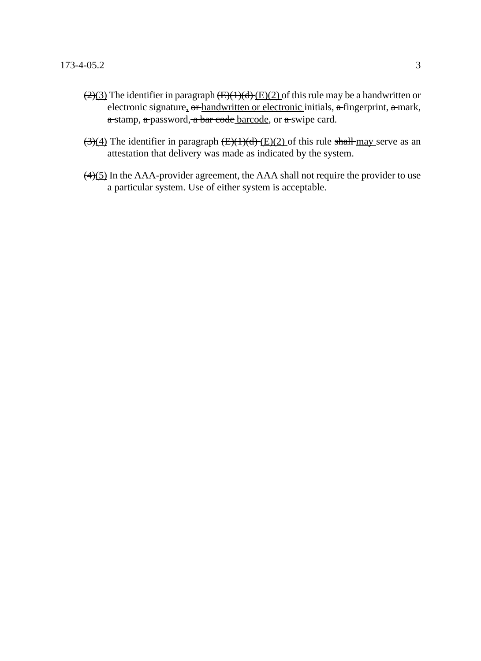- $\sqrt{(2)(3)}$  The identifier in paragraph  $\sqrt{(E)(1)(d)(E)(2)}$  of this rule may be a handwritten or electronic signature, or handwritten or electronic initials, a fingerprint, a mark, a stamp, a password, a bar code barcode, or a swipe card.
- $\left(\frac{3}{4}\right)$  The identifier in paragraph  $\left(\frac{E}{1}\right)\left(\frac{d}{E}\right)\left(\frac{2}{2}\right)$  of this rule shall may serve as an attestation that delivery was made as indicated by the system.
- $\left(\frac{4}{5}\right)$  In the AAA-provider agreement, the AAA shall not require the provider to use a particular system. Use of either system is acceptable.